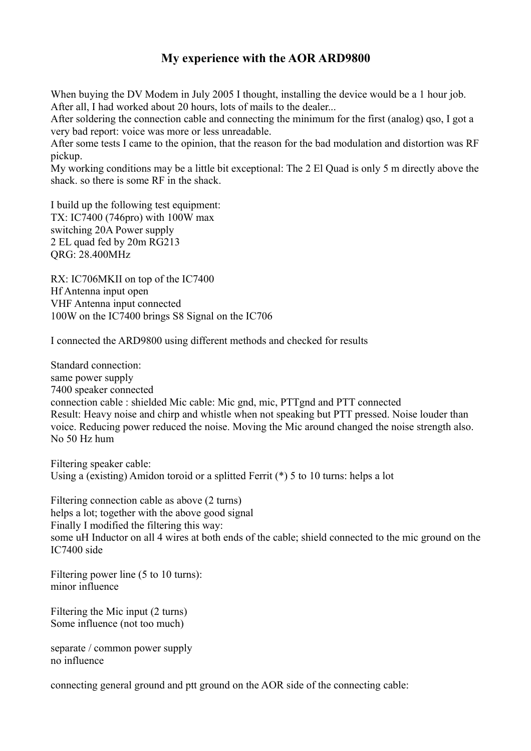# **My experience with the AOR ARD9800**

When buying the DV Modem in July 2005 I thought, installing the device would be a 1 hour job. After all, I had worked about 20 hours, lots of mails to the dealer...

After soldering the connection cable and connecting the minimum for the first (analog) qso, I got a very bad report: voice was more or less unreadable.

After some tests I came to the opinion, that the reason for the bad modulation and distortion was RF pickup.

My working conditions may be a little bit exceptional: The 2 El Quad is only 5 m directly above the shack. so there is some RF in the shack.

I build up the following test equipment: TX: IC7400 (746pro) with 100W max switching 20A Power supply 2 EL quad fed by 20m RG213 QRG: 28.400MHz

RX: IC706MKII on top of the IC7400 Hf Antenna input open VHF Antenna input connected 100W on the IC7400 brings S8 Signal on the IC706

I connected the ARD9800 using different methods and checked for results

Standard connection: same power supply 7400 speaker connected connection cable : shielded Mic cable: Mic gnd, mic, PTTgnd and PTT connected Result: Heavy noise and chirp and whistle when not speaking but PTT pressed. Noise louder than voice. Reducing power reduced the noise. Moving the Mic around changed the noise strength also. No 50 Hz hum

Filtering speaker cable: Using a (existing) Amidon toroid or a splitted Ferrit  $(*)$  5 to 10 turns: helps a lot

Filtering connection cable as above (2 turns) helps a lot; together with the above good signal Finally I modified the filtering this way: some uH Inductor on all 4 wires at both ends of the cable; shield connected to the mic ground on the IC7400 side

Filtering power line (5 to 10 turns): minor influence

Filtering the Mic input (2 turns) Some influence (not too much)

separate / common power supply no influence

connecting general ground and ptt ground on the AOR side of the connecting cable: